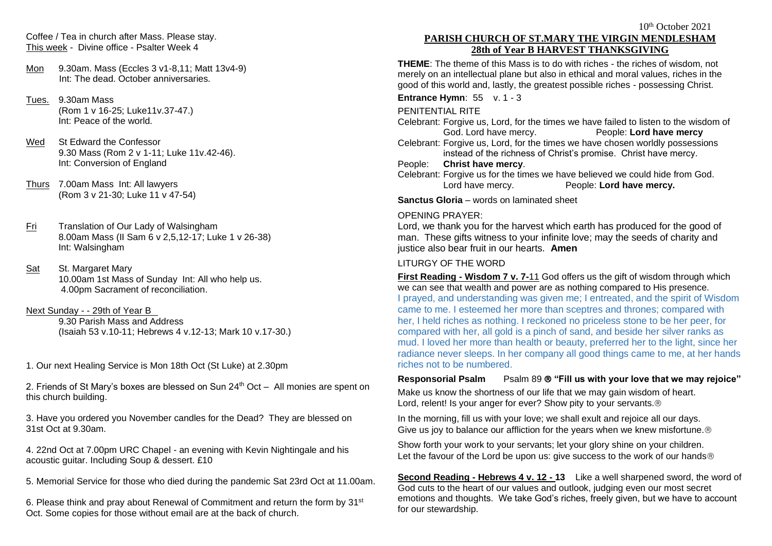Coffee / Tea in church after Mass. Please stay. This week - Divine office - Psalter Week 4

- Mon 9.30am. Mass (Eccles 3 v1-8,11; Matt 13v4-9) Int: The dead. October anniversaries.
- Tues. 9.30am Mass (Rom 1 v 16-25; Luke11v.37-47.) Int: Peace of the world.
- Wed St Edward the Confessor 9.30 Mass (Rom 2 v 1-11; Luke 11v.42-46). Int: Conversion of England
- Thurs 7.00am Mass Int: All lawyers (Rom 3 v 21-30; Luke 11 v 47-54)
- Fri Translation of Our Lady of Walsingham 8.00am Mass (II Sam 6 v 2,5,12-17; Luke 1 v 26-38) Int: Walsingham
- Sat St. Margaret Mary 10.00am 1st Mass of Sunday Int: All who help us. 4.00pm Sacrament of reconciliation.
- Next Sunday - 29th of Year B 9.30 Parish Mass and Address (Isaiah 53 v.10-11; Hebrews 4 v.12-13; Mark 10 v.17-30.)
- 1. Our next Healing Service is Mon 18th Oct (St Luke) at 2.30pm
- 2. Friends of St Mary's boxes are blessed on Sun 24<sup>th</sup> Oct All monies are spent on this church building.
- 3. Have you ordered you November candles for the Dead? They are blessed on 31st Oct at 9.30am.
- 4. 22nd Oct at 7.00pm URC Chapel an evening with Kevin Nightingale and his acoustic guitar. Including Soup & dessert. £10
- 5. Memorial Service for those who died during the pandemic Sat 23rd Oct at 11.00am.
- 6. Please think and pray about Renewal of Commitment and return the form by 31st Oct. Some copies for those without email are at the back of church.

# **PARISH CHURCH OF ST.MARY THE VIRGIN MENDLESHAM 28th of Year B HARVEST THANKSGIVING**

**THEME**: The theme of this Mass is to do with riches - the riches of wisdom, not merely on an intellectual plane but also in ethical and moral values, riches in the good of this world and, lastly, the greatest possible riches - possessing Christ.

### **Entrance Hymn**: 55 v. 1 - 3

### PENITENTIAL RITE

Celebrant: Forgive us, Lord, for the times we have failed to listen to the wisdom of God. Lord have mercy. People: **Lord have mercy**

Celebrant: Forgive us, Lord, for the times we have chosen worldly possessions instead of the richness of Christ's promise. Christ have mercy.

People: **Christ have mercy**.

Celebrant: Forgive us for the times we have believed we could hide from God. Lord have mercy. People: **Lord have mercy.**

**Sanctus Gloria** – words on laminated sheet

# OPENING PRAYER:

Lord, we thank you for the harvest which earth has produced for the good of man. These gifts witness to your infinite love; may the seeds of charity and justice also bear fruit in our hearts. **Amen**

# LITURGY OF THE WORD

**First Reading - Wisdom 7 v. 7-**11 God offers us the gift of wisdom through which we can see that wealth and power are as nothing compared to His presence. I prayed, and understanding was given me; I entreated, and the spirit of Wisdom came to me. I esteemed her more than sceptres and thrones; compared with her, I held riches as nothing. I reckoned no priceless stone to be her peer, for compared with her, all gold is a pinch of sand, and beside her silver ranks as mud. I loved her more than health or beauty, preferred her to the light, since her radiance never sleeps. In her company all good things came to me, at her hands riches not to be numbered.

**Responsorial Psalm** Psalm 89 **"Fill us with your love that we may rejoice"**

Make us know the shortness of our life that we may gain wisdom of heart. Lord, relent! Is your anger for ever? Show pity to your servants.<sup>®</sup>

In the morning, fill us with your love; we shall exult and rejoice all our days. Give us joy to balance our affliction for the years when we knew misfortune.<sup>®</sup>

Show forth your work to your servants; let your glory shine on your children. Let the favour of the Lord be upon us: give success to the work of our hands<sup>®</sup>

**Second Reading - Hebrews 4 v. 12 - 13** Like a well sharpened sword, the word of God cuts to the heart of our values and outlook, judging even our most secret emotions and thoughts. We take God's riches, freely given, but we have to account for our stewardship.